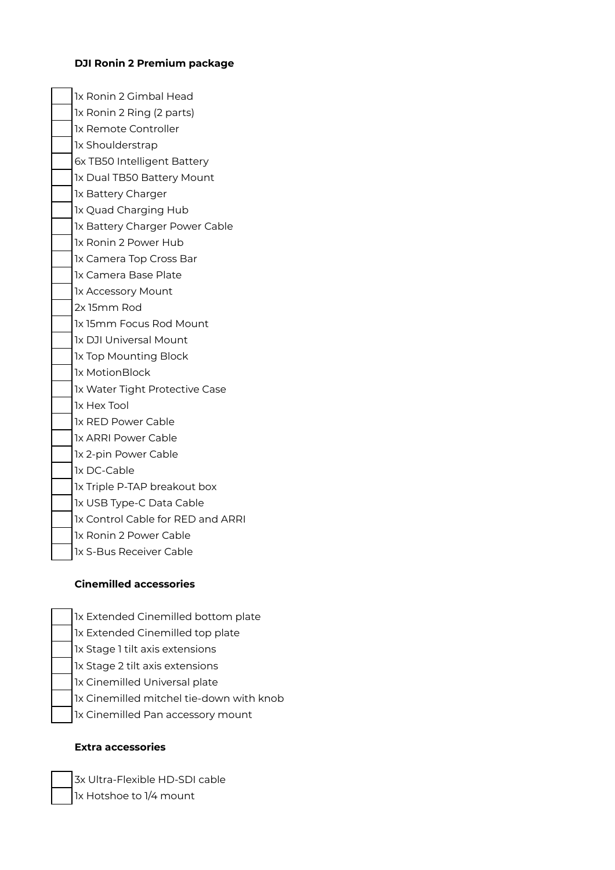### **DJI Ronin 2 Premium package**

1x Ronin 2 Gimbal Head 1x Ronin 2 Ring (2 parts) 1x Remote Controller 1x Shoulderstrap 6x TB50 Intelligent Battery 1x Dual TB50 Battery Mount 1x Battery Charger 1x Quad Charging Hub 1x Battery Charger Power Cable 1x Ronin 2 Power Hub 1x Camera Top Cross Bar 1x Camera Base Plate 1x Accessory Mount 2x 15mm Rod 1x 15mm Focus Rod Mount 1x DJI Universal Mount 1x Top Mounting Block 1x MotionBlock 1x Water Tight Protective Case 1x Hex Tool 1x RED Power Cable 1x ARRI Power Cable 1x 2-pin Power Cable 1x DC-Cable 1x Triple P-TAP breakout box 1x USB Type-C Data Cable 1x Control Cable for RED and ARRI 1x Ronin 2 Power Cable 1x S-Bus Receiver Cable

#### **Cinemilled accessories**

- 1x Extended Cinemilled bottom plate
- 1x Extended Cinemilled top plate
- 1x Stage 1 tilt axis extensions
- 1x Stage 2 tilt axis extensions
- 1x Cinemilled Universal plate
- 1x Cinemilled mitchel tie-down with knob
- 1x Cinemilled Pan accessory mount

### **Extra accessories**

3x Ultra-Flexible HD-SDI cable 1x Hotshoe to 1/4 mount